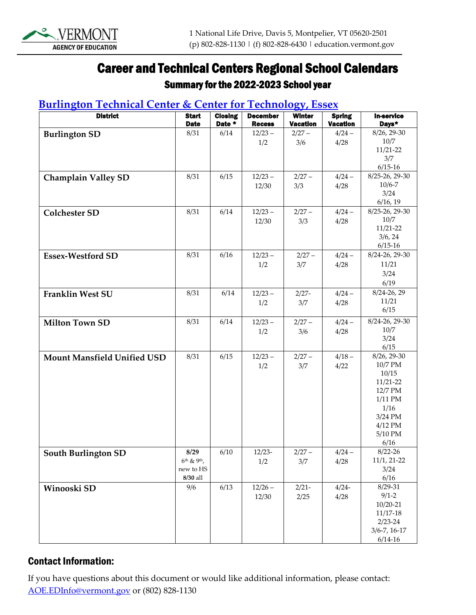

# Career and Technical Centers Regional School Calendars

#### Summary for the 2022-2023 School year

#### **[Burlington](http://btc.bsdvt.org/) Technical Center & Center [for Technology,](https://www.ewsd.org/cte) Essex**

| <b>District</b>             | <b>Start</b><br><b>Date</b>               | <b>Closing</b><br>Date * | <b>December</b><br><b>Recess</b> | <b>Winter</b><br><b>Vacation</b> | <b>Spring</b><br><b>Vacation</b> | <b>In-service</b><br>Days* |
|-----------------------------|-------------------------------------------|--------------------------|----------------------------------|----------------------------------|----------------------------------|----------------------------|
| <b>Burlington SD</b>        | 8/31                                      | 6/14                     | $12/23 -$                        | $2/27 -$                         | $4/24 -$                         | 8/26, 29-30                |
|                             |                                           |                          | 1/2                              | 3/6                              | 4/28                             | 10/7                       |
|                             |                                           |                          |                                  |                                  |                                  | 11/21-22<br>3/7            |
|                             |                                           |                          |                                  |                                  |                                  | $6/15 - 16$                |
| <b>Champlain Valley SD</b>  | 8/31                                      | 6/15                     | $12/23 -$                        | $2/27 -$                         | $4/24 -$                         | 8/25-26, 29-30             |
|                             |                                           |                          | 12/30                            | 3/3                              | 4/28                             | $10/6 - 7$                 |
|                             |                                           |                          |                                  |                                  |                                  | 3/24<br>6/16, 19           |
| <b>Colchester SD</b>        | 8/31                                      | 6/14                     | $12/23 -$                        | $2/27 -$                         | $4/24 -$                         | 8/25-26, 29-30             |
|                             |                                           |                          | 12/30                            | 3/3                              | 4/28                             | 10/7                       |
|                             |                                           |                          |                                  |                                  |                                  | $11/21 - 22$               |
|                             |                                           |                          |                                  |                                  |                                  | 3/6, 24<br>$6/15 - 16$     |
| <b>Essex-Westford SD</b>    | 8/31                                      | 6/16                     | $12/23 -$                        | $2/27 -$                         | $4/24 -$                         | 8/24-26, 29-30             |
|                             |                                           |                          | 1/2                              | 3/7                              | 4/28                             | 11/21                      |
|                             |                                           |                          |                                  |                                  |                                  | 3/24                       |
|                             |                                           |                          |                                  |                                  |                                  | 6/19                       |
| <b>Franklin West SU</b>     | 8/31                                      | 6/14                     | $12/23 -$<br>1/2                 | $2/27 -$<br>3/7                  | $4/24 -$<br>4/28                 | 8/24-26, 29<br>11/21       |
|                             |                                           |                          |                                  |                                  |                                  | 6/15                       |
| <b>Milton Town SD</b>       | 8/31                                      | 6/14                     | $12/23 -$                        | $2/27 -$                         | $4/24 -$                         | 8/24-26, 29-30             |
|                             |                                           |                          | 1/2                              | 3/6                              | 4/28                             | $10/7$                     |
|                             |                                           |                          |                                  |                                  |                                  | 3/24<br>6/15               |
| Mount Mansfield Unified USD | 8/31                                      | 6/15                     | $12/23 -$                        | $2/27 -$                         | $4/18 -$                         | 8/26, 29-30                |
|                             |                                           |                          | 1/2                              | 3/7                              | 4/22                             | 10/7 PM                    |
|                             |                                           |                          |                                  |                                  |                                  | 10/15                      |
|                             |                                           |                          |                                  |                                  |                                  | $11/21 - 22$<br>12/7 PM    |
|                             |                                           |                          |                                  |                                  |                                  | $1/11$ PM                  |
|                             |                                           |                          |                                  |                                  |                                  | 1/16                       |
|                             |                                           |                          |                                  |                                  |                                  | 3/24 PM                    |
|                             |                                           |                          |                                  |                                  |                                  | $4/12$ PM<br>5/10 PM       |
|                             |                                           |                          |                                  |                                  |                                  | 6/16                       |
| <b>South Burlington SD</b>  | 8/29                                      | 6/10                     | $12/23-$                         | $2/27 -$                         | $4/24 -$                         | $8/22 - 26$                |
|                             | $6^{th}$ & 9 <sup>th</sup> ,<br>new to HS |                          | 1/2                              | 3/7                              | 4/28                             | 11/1, 21-22<br>3/24        |
|                             | 8/30 all                                  |                          |                                  |                                  |                                  | $6/16$                     |
| Winooski SD                 | 9/6                                       | 6/13                     | $12/26 -$                        | $2/21-$                          | $4/24-$                          | $8/29 - 31$                |
|                             |                                           |                          | 12/30                            | 2/25                             | 4/28                             | $9/1 - 2$                  |
|                             |                                           |                          |                                  |                                  |                                  | $10/20 - 21$<br>$11/17-18$ |
|                             |                                           |                          |                                  |                                  |                                  | $2/23 - 24$                |
|                             |                                           |                          |                                  |                                  |                                  | $3/6 - 7, 16 - 17$         |
|                             |                                           |                          |                                  |                                  |                                  | $6/14 - 16$                |

#### Contact Information:

If you have questions about this document or would like additional information, please contact: [AOE.EDInfo@vermont.gov](mailto:AOE.EDInfo@vermont.gov) or (802) 828-1130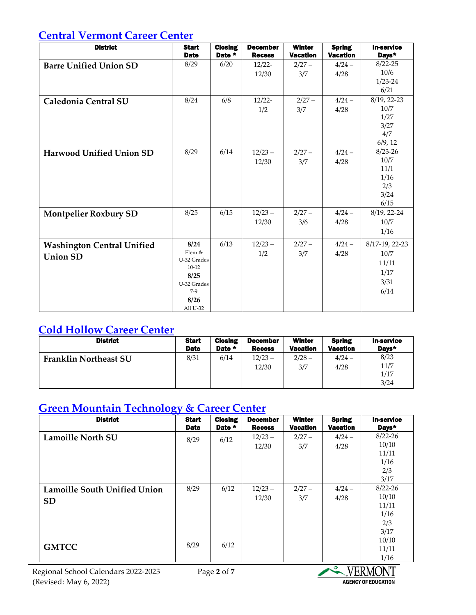#### **Central [Vermont](http://cvtcc.org/) Career Center**

| <b>District</b>                                      | <b>Start</b><br><b>Date</b>                                                                  | <b>Closing</b><br>Date * | <b>December</b><br><b>Recess</b> | <b>Winter</b><br><b>Vacation</b> | <b>Spring</b><br><b>Vacation</b> | <b>In-service</b><br>Days*                                 |
|------------------------------------------------------|----------------------------------------------------------------------------------------------|--------------------------|----------------------------------|----------------------------------|----------------------------------|------------------------------------------------------------|
| <b>Barre Unified Union SD</b>                        | 8/29                                                                                         | 6/20                     | $12/22 -$<br>12/30               | $2/27 -$<br>3/7                  | $4/24 -$<br>4/28                 | $8/22 - 25$<br>10/6<br>$1/23 - 24$<br>6/21                 |
| Caledonia Central SU                                 | 8/24                                                                                         | 6/8                      | $12/22-$<br>1/2                  | $2/27 -$<br>3/7                  | $4/24 -$<br>4/28                 | 8/19, 22-23<br>10/7<br>1/27<br>3/27<br>4/7<br>6/9, 12      |
| Harwood Unified Union SD                             | 8/29                                                                                         | 6/14                     | $12/23 -$<br>12/30               | $2/27 -$<br>3/7                  | $4/24 -$<br>4/28                 | $8/23 - 26$<br>10/7<br>11/1<br>1/16<br>2/3<br>3/24<br>6/15 |
| <b>Montpelier Roxbury SD</b>                         | 8/25                                                                                         | 6/15                     | $12/23 -$<br>12/30               | $2/27 -$<br>3/6                  | $4/24 -$<br>4/28                 | 8/19, 22-24<br>10/7<br>1/16                                |
| <b>Washington Central Unified</b><br><b>Union SD</b> | 8/24<br>Elem &<br>U-32 Grades<br>$10-12$<br>8/25<br>U-32 Grades<br>$7-9$<br>8/26<br>All U-32 | 6/13                     | $12/23 -$<br>1/2                 | $2/27 -$<br>3/7                  | $4/24 -$<br>4/28                 | 8/17-19, 22-23<br>10/7<br>11/11<br>1/17<br>3/31<br>6/14    |

## **Cold [Hollow](https://www.chccvt.net/) Career Center**

| <b>District</b>              | <b>Start</b> | <b>Closing</b> | <b>December</b>    | <b>Winter</b>   | <b>Spring</b>    | <b>In-service</b>            |
|------------------------------|--------------|----------------|--------------------|-----------------|------------------|------------------------------|
|                              | <b>Date</b>  | Date *         | <b>Recess</b>      | <b>Vacation</b> | <b>Vacation</b>  | Days*                        |
| <b>Franklin Northeast SU</b> | 8/31         | 6/14           | $12/23 -$<br>12/30 | $2/28 -$<br>3/7 | $4/24 -$<br>4/28 | 8/23<br>11/7<br>1/17<br>3/24 |

# **Green Mountain [Technology](https://gmtcc.lnsd.org/) & Career Center**

| <b>District</b>                     | <b>Start</b><br><b>Date</b> | <b>Closing</b><br>Date * | <b>December</b><br><b>Recess</b> | <b>Winter</b><br><b>Vacation</b> | <b>Spring</b><br><b>Vacation</b> | <b>In-service</b><br>Days* |
|-------------------------------------|-----------------------------|--------------------------|----------------------------------|----------------------------------|----------------------------------|----------------------------|
| <b>Lamoille North SU</b>            | 8/29                        | 6/12                     | $12/23 -$                        | $2/27 -$                         | $4/24 -$                         | $8/22 - 26$                |
|                                     |                             |                          | 12/30                            | 3/7                              | 4/28                             | 10/10                      |
|                                     |                             |                          |                                  |                                  |                                  | 11/11                      |
|                                     |                             |                          |                                  |                                  |                                  | 1/16                       |
|                                     |                             |                          |                                  |                                  |                                  | 2/3                        |
|                                     |                             |                          |                                  |                                  |                                  | 3/17                       |
| <b>Lamoille South Unified Union</b> | 8/29                        | 6/12                     | $12/23 -$                        | $2/27 -$                         | $4/24 -$                         | $8/22 - 26$                |
| <b>SD</b>                           |                             |                          | 12/30                            | 3/7                              | 4/28                             | 10/10                      |
|                                     |                             |                          |                                  |                                  |                                  | 11/11                      |
|                                     |                             |                          |                                  |                                  |                                  | 1/16                       |
|                                     |                             |                          |                                  |                                  |                                  | 2/3                        |
|                                     |                             |                          |                                  |                                  |                                  | 3/17                       |
|                                     | 8/29                        | 6/12                     |                                  |                                  |                                  | 10/10                      |
| <b>GMTCC</b>                        |                             |                          |                                  |                                  |                                  | 11/11                      |
|                                     |                             |                          |                                  |                                  |                                  | 1/16                       |

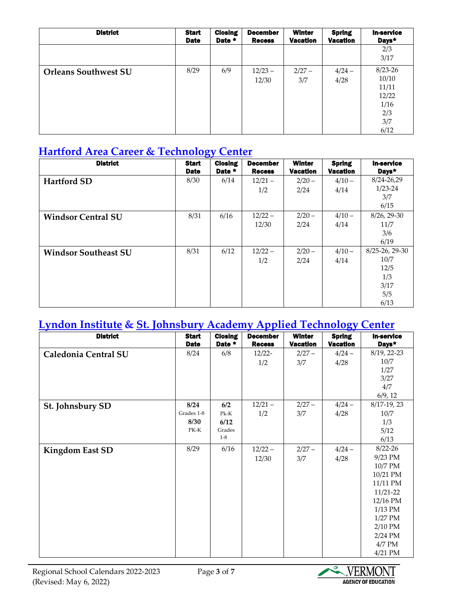| <b>District</b>             | <b>Start</b><br><b>Date</b> | <b>Closing</b><br>Date * | <b>December</b><br><b>Recess</b> | <b>Winter</b><br><b>Vacation</b> | <b>Spring</b><br><b>Vacation</b> | <b>In-service</b><br>Days*                                           |
|-----------------------------|-----------------------------|--------------------------|----------------------------------|----------------------------------|----------------------------------|----------------------------------------------------------------------|
|                             |                             |                          |                                  |                                  |                                  | 2/3<br>3/17                                                          |
| <b>Orleans Southwest SU</b> | 8/29                        | 6/9                      | $12/23 -$<br>12/30               | $2/27 -$<br>3/7                  | $4/24 -$<br>4/28                 | $8/23 - 26$<br>10/10<br>11/11<br>12/22<br>1/16<br>2/3<br>3/7<br>6/12 |

## **Hartford Area Career & [Technology](http://www.hactc.com/) Center**

| <b>District</b>             | <b>Start</b><br><b>Date</b> | <b>Closing</b><br>Date * | <b>December</b><br><b>Recess</b> | <b>Winter</b><br><b>Vacation</b> | <b>Spring</b><br><b>Vacation</b> | <b>In-service</b><br>Days* |
|-----------------------------|-----------------------------|--------------------------|----------------------------------|----------------------------------|----------------------------------|----------------------------|
| <b>Hartford SD</b>          | 8/30                        | 6/14                     | $12/21 -$                        | $2/20 -$                         | $4/10 -$                         | 8/24-26,29                 |
|                             |                             |                          | 1/2                              | 2/24                             | 4/14                             | $1/23 - 24$                |
|                             |                             |                          |                                  |                                  |                                  | 3/7                        |
|                             |                             |                          |                                  |                                  |                                  | 6/15                       |
| <b>Windsor Central SU</b>   | 8/31                        | 6/16                     | $12/22 -$                        | $2/20 -$                         | $4/10 -$                         | 8/26, 29-30                |
|                             |                             |                          | 12/30                            | 2/24                             | 4/14                             | 11/7                       |
|                             |                             |                          |                                  |                                  |                                  | 3/6                        |
|                             |                             |                          |                                  |                                  |                                  | 6/19                       |
| <b>Windsor Southeast SU</b> | 8/31                        | 6/12                     | $12/22 -$                        | $2/20 -$                         | $4/10 -$                         | $8/25 - 26$ , 29-30        |
|                             |                             |                          | 1/2                              | 2/24                             | 4/14                             | 10/7                       |
|                             |                             |                          |                                  |                                  |                                  | 12/5                       |
|                             |                             |                          |                                  |                                  |                                  | 1/3                        |
|                             |                             |                          |                                  |                                  |                                  | 3/17                       |
|                             |                             |                          |                                  |                                  |                                  | 5/5                        |
|                             |                             |                          |                                  |                                  |                                  | 6/13                       |

# **[Lyndon Institute](https://www.lyndoninstitute.org/) & [St. Johnsbury Academy Applied Technology Center](https://vtadultcte.org/training_centers/st-johnsbury-academy-applied-technical-center/)**

| <b>District</b>        | <b>Start</b><br><b>Date</b> | <b>Closing</b><br>Date * | <b>December</b><br><b>Recess</b> | <b>Winter</b><br><b>Vacation</b> | <b>Spring</b><br><b>Vacation</b> | <b>In-service</b><br>Days* |
|------------------------|-----------------------------|--------------------------|----------------------------------|----------------------------------|----------------------------------|----------------------------|
| Caledonia Central SU   | 8/24                        | 6/8                      | $12/22 -$                        | $2/27 -$                         | $4/24 -$                         | 8/19, 22-23                |
|                        |                             |                          | 1/2                              | 3/7                              | 4/28                             | 10/7                       |
|                        |                             |                          |                                  |                                  |                                  | 1/27                       |
|                        |                             |                          |                                  |                                  |                                  | 3/27                       |
|                        |                             |                          |                                  |                                  |                                  | 4/7                        |
|                        |                             |                          |                                  |                                  |                                  | 6/9, 12                    |
| St. Johnsbury SD       | 8/24                        | 6/2                      | $12/21 -$                        | $2/27 -$                         | $4/24 -$                         | $8/17-19$ , 23             |
|                        | Grades 1-8                  | $Pk-K$                   | 1/2                              | 3/7                              | 4/28                             | 10/7                       |
|                        | 8/30                        | 6/12                     |                                  |                                  |                                  | 1/3                        |
|                        | PK-K                        | Grades                   |                                  |                                  |                                  | 5/12                       |
|                        |                             | $1 - 8$                  |                                  |                                  |                                  | 6/13                       |
| <b>Kingdom East SD</b> | 8/29                        | 6/16                     | $12/22 -$                        | $2/27 -$                         | $4/24 -$                         | $8/22 - 26$                |
|                        |                             |                          | 12/30                            | 3/7                              | 4/28                             | 9/23 PM                    |
|                        |                             |                          |                                  |                                  |                                  | 10/7 PM                    |
|                        |                             |                          |                                  |                                  |                                  | 10/21 PM                   |
|                        |                             |                          |                                  |                                  |                                  | 11/11 PM                   |
|                        |                             |                          |                                  |                                  |                                  | $11/21 - 22$               |
|                        |                             |                          |                                  |                                  |                                  | 12/16 PM                   |
|                        |                             |                          |                                  |                                  |                                  | $1/13$ PM                  |
|                        |                             |                          |                                  |                                  |                                  | $1/27$ PM                  |
|                        |                             |                          |                                  |                                  |                                  | $2/10$ PM                  |
|                        |                             |                          |                                  |                                  |                                  | $2/24$ PM                  |
|                        |                             |                          |                                  |                                  |                                  | $4/7$ PM                   |
|                        |                             |                          |                                  |                                  |                                  | $4/21$ PM                  |

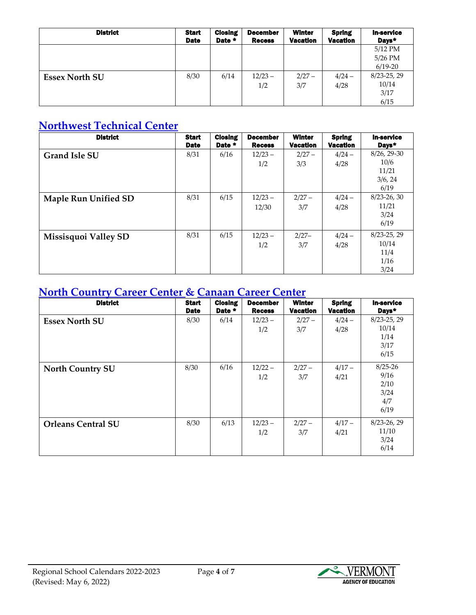| <b>District</b>       | <b>Start</b><br><b>Date</b> | <b>Closing</b><br>Date * | <b>December</b><br><b>Recess</b> | <b>Winter</b><br><b>Vacation</b> | <b>Spring</b><br><b>Vacation</b> | <b>In-service</b><br>Days* |
|-----------------------|-----------------------------|--------------------------|----------------------------------|----------------------------------|----------------------------------|----------------------------|
|                       |                             |                          |                                  |                                  |                                  | $5/12$ PM                  |
|                       |                             |                          |                                  |                                  |                                  | $5/26$ PM                  |
|                       |                             |                          |                                  |                                  |                                  | $6/19-20$                  |
| <b>Essex North SU</b> | 8/30                        | 6/14                     | $12/23 -$                        | $2/27 -$                         | $4/24 -$                         | $8/23 - 25$ , 29           |
|                       |                             |                          | 1/2                              | 3/7                              | 4/28                             | 10/14                      |
|                       |                             |                          |                                  |                                  |                                  | 3/17                       |
|                       |                             |                          |                                  |                                  |                                  | 6/15                       |

## **[Northwest](https://www.maplerun.org/o/nwtc) Technical Center**

| <b>District</b>             | <b>Start</b><br><b>Date</b> | <b>Closing</b><br>Date * | <b>December</b><br><b>Recess</b> | <b>Winter</b><br><b>Vacation</b> | <b>Spring</b><br><b>Vacation</b> | <b>In-service</b><br>Days*                        |
|-----------------------------|-----------------------------|--------------------------|----------------------------------|----------------------------------|----------------------------------|---------------------------------------------------|
| <b>Grand Isle SU</b>        | 8/31                        | 6/16                     | $12/23 -$<br>1/2                 | $2/27 -$<br>3/3                  | $4/24 -$<br>4/28                 | 8/26, 29-30<br>10/6<br>11/21<br>3/6, 24<br>6/19   |
| <b>Maple Run Unified SD</b> | 8/31                        | 6/15                     | $12/23 -$<br>12/30               | $2/27 -$<br>3/7                  | $4/24 -$<br>4/28                 | $8/23 - 26$ , 30<br>11/21<br>3/24<br>6/19         |
| Missisquoi Valley SD        | 8/31                        | 6/15                     | $12/23 -$<br>1/2                 | $2/27-$<br>3/7                   | $4/24 -$<br>4/28                 | $8/23 - 25$ , 29<br>10/14<br>11/4<br>1/16<br>3/24 |

#### **North [Country](https://nc3.ncsuvt.org/) Career Center & [Canaan](https://ensuvt.org/index.php/families/career-technical) Career Center**

| <b>District</b>           | <b>Start</b><br><b>Date</b> | <b>Closing</b><br>Date * | <b>December</b><br><b>Recess</b> | <b>Winter</b><br><b>Vacation</b> | <b>Spring</b><br><b>Vacation</b> | <b>In-service</b><br>Days*                         |
|---------------------------|-----------------------------|--------------------------|----------------------------------|----------------------------------|----------------------------------|----------------------------------------------------|
| <b>Essex North SU</b>     | 8/30                        | 6/14                     | $12/23 -$<br>1/2                 | $2/27 -$<br>3/7                  | $4/24 -$<br>4/28                 | $8/23 - 25$ , 29<br>10/14<br>1/14<br>3/17<br>6/15  |
| <b>North Country SU</b>   | 8/30                        | 6/16                     | $12/22 -$<br>1/2                 | $2/27 -$<br>3/7                  | $4/17 -$<br>4/21                 | $8/25 - 26$<br>9/16<br>2/10<br>3/24<br>4/7<br>6/19 |
| <b>Orleans Central SU</b> | 8/30                        | 6/13                     | $12/23 -$<br>1/2                 | $2/27 -$<br>3/7                  | $4/17 -$<br>4/21                 | $8/23 - 26$ , 29<br>11/10<br>3/24<br>6/14          |

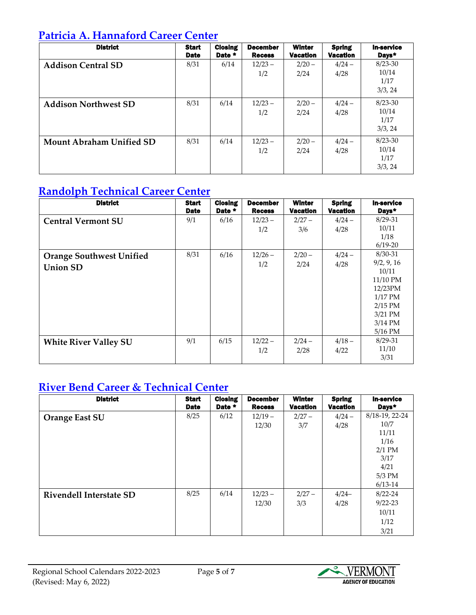#### **Patricia A. [Hannaford](http://www.hannafordcareercenter.org/) Career Center**

| <b>District</b>                 | <b>Start</b><br><b>Date</b> | <b>Closing</b><br>Date * | <b>December</b><br><b>Recess</b> | <b>Winter</b><br><b>Vacation</b> | <b>Spring</b><br><b>Vacation</b> | <b>In-service</b><br>Days*              |
|---------------------------------|-----------------------------|--------------------------|----------------------------------|----------------------------------|----------------------------------|-----------------------------------------|
| <b>Addison Central SD</b>       | 8/31                        | 6/14                     | $12/23 -$<br>1/2                 | $2/20 -$<br>2/24                 | $4/24 -$<br>4/28                 | $8/23 - 30$<br>10/14<br>1/17<br>3/3, 24 |
| <b>Addison Northwest SD</b>     | 8/31                        | 6/14                     | $12/23 -$<br>1/2                 | $2/20 -$<br>2/24                 | $4/24 -$<br>4/28                 | $8/23 - 30$<br>10/14<br>1/17<br>3/3, 24 |
| <b>Mount Abraham Unified SD</b> | 8/31                        | 6/14                     | $12/23 -$<br>1/2                 | $2/20 -$<br>2/24                 | $4/24 -$<br>4/28                 | $8/23 - 30$<br>10/14<br>1/17<br>3/3, 24 |

## **[Randolph](http://www.orangesouthwest.org/rtcc) Technical Career Center**

| <b>District</b>                 | <b>Start</b><br><b>Date</b> | <b>Closing</b><br>Date * | <b>December</b><br><b>Recess</b> | <b>Winter</b><br><b>Vacation</b> | <b>Spring</b><br><b>Vacation</b> | <b>In-service</b><br>Days* |
|---------------------------------|-----------------------------|--------------------------|----------------------------------|----------------------------------|----------------------------------|----------------------------|
| <b>Central Vermont SU</b>       | 9/1                         | 6/16                     | $12/23 -$                        | $2/27 -$                         | $4/24 -$                         | $8/29 - 31$                |
|                                 |                             |                          | 1/2                              | 3/6                              | 4/28                             | 10/11                      |
|                                 |                             |                          |                                  |                                  |                                  | 1/18                       |
|                                 |                             |                          |                                  |                                  |                                  | $6/19-20$                  |
| <b>Orange Southwest Unified</b> | 8/31                        | 6/16                     | $12/26 -$                        | $2/20 -$                         | $4/24 -$                         | 8/30-31                    |
| <b>Union SD</b>                 |                             |                          | 1/2                              | 2/24                             | 4/28                             | 9/2, 9, 16                 |
|                                 |                             |                          |                                  |                                  |                                  | 10/11                      |
|                                 |                             |                          |                                  |                                  |                                  | 11/10 PM                   |
|                                 |                             |                          |                                  |                                  |                                  | 12/23PM                    |
|                                 |                             |                          |                                  |                                  |                                  | $1/17$ PM                  |
|                                 |                             |                          |                                  |                                  |                                  | $2/15$ PM                  |
|                                 |                             |                          |                                  |                                  |                                  | $3/21$ PM                  |
|                                 |                             |                          |                                  |                                  |                                  | $3/14$ PM                  |
|                                 |                             |                          |                                  |                                  |                                  | $5/16$ PM                  |
| <b>White River Valley SU</b>    | 9/1                         | 6/15                     | $12/22 -$                        | $2/24 -$                         | $4/18 -$                         | $8/29 - 31$                |
|                                 |                             |                          | 1/2                              | 2/28                             | 4/22                             | 11/10                      |
|                                 |                             |                          |                                  |                                  |                                  | 3/31                       |

## **[River Bend Career & Technical Center](https://www.rbctc.org/)**

| <b>District</b>                | <b>Start</b><br><b>Date</b> | <b>Closing</b><br>Date * | <b>December</b><br><b>Recess</b> | <b>Winter</b><br><b>Vacation</b> | <b>Spring</b><br><b>Vacation</b> | <b>In-service</b><br>Days* |
|--------------------------------|-----------------------------|--------------------------|----------------------------------|----------------------------------|----------------------------------|----------------------------|
| <b>Orange East SU</b>          | 8/25                        | 6/12                     | $12/19-$                         | $2/27 -$                         | $4/24 -$                         | 8/18-19, 22-24             |
|                                |                             |                          | 12/30                            | 3/7                              | 4/28                             | 10/7                       |
|                                |                             |                          |                                  |                                  |                                  | 11/11                      |
|                                |                             |                          |                                  |                                  |                                  | 1/16                       |
|                                |                             |                          |                                  |                                  |                                  | $2/1$ PM                   |
|                                |                             |                          |                                  |                                  |                                  | 3/17                       |
|                                |                             |                          |                                  |                                  |                                  | 4/21                       |
|                                |                             |                          |                                  |                                  |                                  | $5/3$ PM                   |
|                                |                             |                          |                                  |                                  |                                  | $6/13-14$                  |
| <b>Rivendell Interstate SD</b> | 8/25                        | 6/14                     | $12/23 -$                        | $2/27 -$                         | $4/24-$                          | $8/22 - 24$                |
|                                |                             |                          | 12/30                            | 3/3                              | 4/28                             | $9/22 - 23$                |
|                                |                             |                          |                                  |                                  |                                  | 10/11                      |
|                                |                             |                          |                                  |                                  |                                  | 1/12                       |
|                                |                             |                          |                                  |                                  |                                  | 3/21                       |

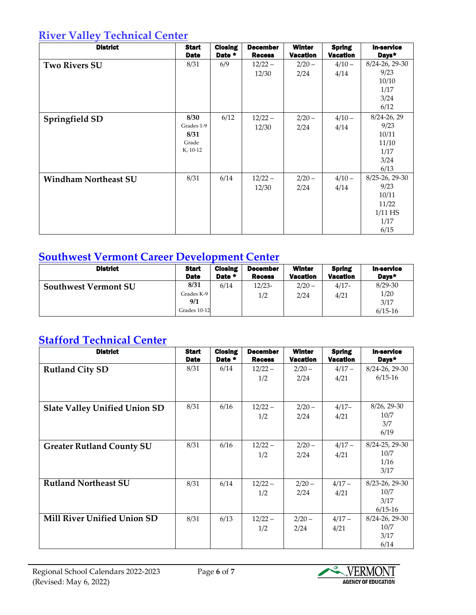### **River Valley [Technical](http://www.rvtc.org/) Center**

| <b>District</b>             | <b>Start</b><br><b>Date</b>                     | <b>Closing</b><br>Date * | <b>December</b><br><b>Recess</b> | <b>Winter</b><br><b>Vacation</b> | <b>Spring</b><br>Vacation | <b>In-service</b><br>Days*                                            |
|-----------------------------|-------------------------------------------------|--------------------------|----------------------------------|----------------------------------|---------------------------|-----------------------------------------------------------------------|
| <b>Two Rivers SU</b>        | 8/31                                            | 6/9                      | $12/22 -$<br>12/30               | $2/20 -$<br>2/24                 | $4/10 -$<br>4/14          | 8/24-26, 29-30<br>9/23<br>10/10<br>1/17<br>3/24<br>6/12               |
| Springfield SD              | 8/30<br>Grades 1-9<br>8/31<br>Grade<br>K, 10-12 | 6/12                     | $12/22 -$<br>12/30               | $2/20 -$<br>2/24                 | $4/10 -$<br>4/14          | 8/24-26, 29<br>9/23<br>10/11<br>11/10<br>1/17<br>3/24<br>6/13         |
| <b>Windham Northeast SU</b> | 8/31                                            | 6/14                     | $12/22 -$<br>12/30               | $2/20 -$<br>2/24                 | $4/10 -$<br>4/14          | 8/25-26, 29-30<br>9/23<br>10/11<br>11/22<br>$1/11$ HS<br>1/17<br>6/15 |

### **Southwest Vermont Career [Development](http://www.svcdc.org/) Center**

| <b>District</b>             | <b>Start</b>                              | <b>Closing</b> | <b>December</b> | <b>Winter</b>    | <b>Spring</b>   | <b>In-service</b>                        |
|-----------------------------|-------------------------------------------|----------------|-----------------|------------------|-----------------|------------------------------------------|
|                             | <b>Date</b>                               | Date *         | <b>Recess</b>   | <b>Vacation</b>  | <b>Vacation</b> | Days*                                    |
| <b>Southwest Vermont SU</b> | 8/31<br>Grades K-9<br>9/1<br>Grades 10-12 | 6/14           | $12/23-$<br>1/2 | $2/20 -$<br>2/24 | $4/17-$<br>4/21 | $8/29 - 30$<br>1/20<br>3/17<br>$6/15-16$ |

## **[Stafford Technical Center](https://staffordonline.org/)**

| <b>District</b>                      | <b>Start</b><br><b>Date</b> | <b>Closing</b><br>Date * | <b>December</b><br><b>Recess</b> | <b>Winter</b><br><b>Vacation</b> | <b>Spring</b><br><b>Vacation</b> | <b>In-service</b><br>Days*                  |
|--------------------------------------|-----------------------------|--------------------------|----------------------------------|----------------------------------|----------------------------------|---------------------------------------------|
| <b>Rutland City SD</b>               | 8/31                        | 6/14                     | $12/22 -$<br>1/2                 | $2/20 -$<br>2/24                 | $4/17 -$<br>4/21                 | 8/24-26, 29-30<br>$6/15-16$                 |
| <b>Slate Valley Unified Union SD</b> | 8/31                        | 6/16                     | $12/22 -$<br>1/2                 | $2/20 -$<br>2/24                 | $4/17-$<br>4/21                  | $8/26$ , 29-30<br>10/7<br>3/7<br>6/19       |
| <b>Greater Rutland County SU</b>     | 8/31                        | 6/16                     | $12/22 -$<br>1/2                 | $2/20 -$<br>2/24                 | $4/17 -$<br>4/21                 | 8/24-25, 29-30<br>10/7<br>1/16<br>3/17      |
| <b>Rutland Northeast SU</b>          | 8/31                        | 6/14                     | $12/22 -$<br>1/2                 | $2/20 -$<br>2/24                 | $4/17-$<br>4/21                  | 8/23-26, 29-30<br>10/7<br>3/17<br>$6/15-16$ |
| <b>Mill River Unified Union SD</b>   | 8/31                        | 6/13                     | $12/22 -$<br>1/2                 | $2/20 -$<br>2/24                 | $4/17 -$<br>4/21                 | 8/24-26, 29-30<br>10/7<br>3/17<br>6/14      |